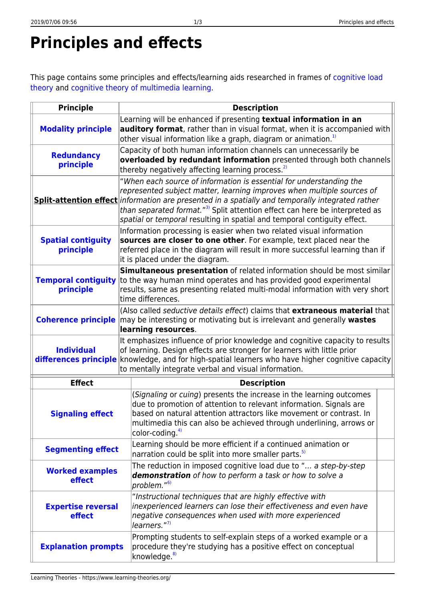## **Principles and effects**

This page contains some principles and effects/learning aids researched in frames of [cognitive load](https://www.learning-theories.org/doku.php?id=learning_theories:cognitive_load_theory) [theory](https://www.learning-theories.org/doku.php?id=learning_theories:cognitive_load_theory) and [cognitive theory of multimedia learning](https://www.learning-theories.org/doku.php?id=learning_theories:cognitive_theory_of_multimedia_learning).

| <b>Principle</b>                           | <b>Description</b>                                                                                                                                                                                                                                                                                                                                                                                                      |
|--------------------------------------------|-------------------------------------------------------------------------------------------------------------------------------------------------------------------------------------------------------------------------------------------------------------------------------------------------------------------------------------------------------------------------------------------------------------------------|
| <b>Modality principle</b>                  | Learning will be enhanced if presenting textual information in an<br>auditory format, rather than in visual format, when it is accompanied with<br>other visual information like a graph, diagram or animation. <sup>1)</sup>                                                                                                                                                                                           |
| <b>Redundancy</b><br>principle             | Capacity of both human information channels can unnecessarily be<br>overloaded by redundant information presented through both channels<br>thereby negatively affecting learning process. <sup>2)</sup>                                                                                                                                                                                                                 |
|                                            | "When each source of information is essential for understanding the<br>represented subject matter, learning improves when multiple sources of<br>Split-attention effect information are presented in a spatially and temporally integrated rather<br>than separated format." <sup>3</sup> Split attention effect can here be interpreted as<br>spatial or temporal resulting in spatial and temporal contiguity effect. |
| <b>Spatial contiguity</b><br>principle     | Information processing is easier when two related visual information<br>sources are closer to one other. For example, text placed near the<br>referred place in the diagram will result in more successful learning than if<br>it is placed under the diagram.                                                                                                                                                          |
| <b>Temporal contiguity</b><br>principle    | Simultaneous presentation of related information should be most similar<br>to the way human mind operates and has provided good experimental<br>results, same as presenting related multi-modal information with very short<br>time differences.                                                                                                                                                                        |
| <b>Coherence principle</b>                 | (Also called seductive details effect) claims that extraneous material that<br>may be interesting or motivating but is irrelevant and generally wastes<br>learning resources.                                                                                                                                                                                                                                           |
| <b>Individual</b><br>differences principle | It emphasizes influence of prior knowledge and cognitive capacity to results<br>of learning. Design effects are stronger for learners with little prior<br>knowledge, and for high-spatial learners who have higher cognitive capacity<br>to mentally integrate verbal and visual information.                                                                                                                          |
| <b>Effect</b>                              | <b>Description</b>                                                                                                                                                                                                                                                                                                                                                                                                      |
| <b>Signaling effect</b>                    | (Signaling or cuing) presents the increase in the learning outcomes<br>due to promotion of attention to relevant information. Signals are<br>based on natural attention attractors like movement or contrast. In<br>multimedia this can also be achieved through underlining, arrows or<br>color-coding. <sup>4)</sup>                                                                                                  |
| <b>Segmenting effect</b>                   | Learning should be more efficient if a continued animation or<br>narration could be split into more smaller parts. <sup>5)</sup>                                                                                                                                                                                                                                                                                        |
| <b>Worked examples</b><br>effect           | The reduction in imposed cognitive load due to " a step-by-step<br>demonstration of how to perform a task or how to solve a<br>problem." <sup>6)</sup>                                                                                                                                                                                                                                                                  |
| <b>Expertise reversal</b><br>effect        | "Instructional techniques that are highly effective with<br>inexperienced learners can lose their effectiveness and even have<br>negative consequences when used with more experienced<br>learners." <sup>7)</sup>                                                                                                                                                                                                      |
| <b>Explanation prompts</b>                 | Prompting students to self-explain steps of a worked example or a<br>procedure they're studying has a positive effect on conceptual<br>knowledge. <sup>8)</sup>                                                                                                                                                                                                                                                         |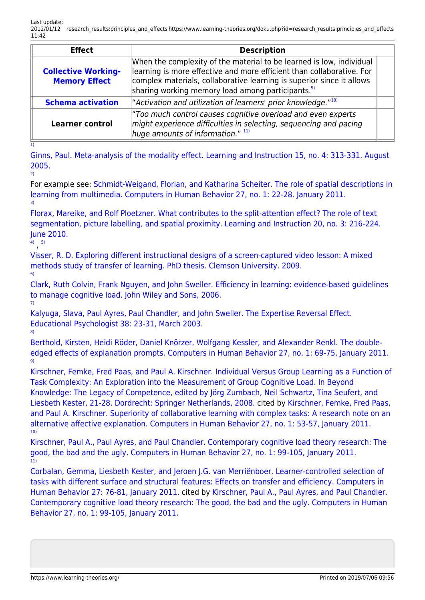| <b>Effect</b>                                      | <b>Description</b>                                                                                                                                                                                                                                                                      |  |
|----------------------------------------------------|-----------------------------------------------------------------------------------------------------------------------------------------------------------------------------------------------------------------------------------------------------------------------------------------|--|
| <b>Collective Working-</b><br><b>Memory Effect</b> | When the complexity of the material to be learned is low, individual<br>learning is more effective and more efficient than collaborative. For<br>complex materials, collaborative learning is superior since it allows<br>sharing working memory load among participants. <sup>9)</sup> |  |
| <b>Schema activation</b>                           | "Activation and utilization of learners' prior knowledge." <sup>10)</sup>                                                                                                                                                                                                               |  |
| <b>Learner control</b>                             | "Too much control causes cognitive overload and even experts<br>might experience difficulties in selecting, sequencing and pacing<br>huge amounts of information." 11)                                                                                                                  |  |

[1\)](#page--1-0)

[Ginns, Paul. Meta-analysis of the modality effect. Learning and Instruction 15, no. 4: 313-331. August](http://www.sciencedirect.com/science/article/pii/S0959475205000459) [2005.](http://www.sciencedirect.com/science/article/pii/S0959475205000459) [2\)](#page--1-0)

For example see: [Schmidt-Weigand, Florian, and Katharina Scheiter. The role of spatial descriptions in](http://www.sciencedirect.com/science/article/pii/S0747563210001445) [learning from multimedia. Computers in Human Behavior 27, no. 1: 22-28. January 2011.](http://www.sciencedirect.com/science/article/pii/S0747563210001445) [3\)](#page--1-0)

[Florax, Mareike, and Rolf Ploetzner. What contributes to the split-attention effect? The role of text](http://www.sciencedirect.com/science/article/pii/S0959475209000358) [segmentation, picture labelling, and spatial proximity. Learning and Instruction 20, no. 3: 216-224.](http://www.sciencedirect.com/science/article/pii/S0959475209000358) [June 2010.](http://www.sciencedirect.com/science/article/pii/S0959475209000358)

[4\)](#page--1-0) , [5\)](#page--1-0)

[8\)](#page--1-0)

[Visser, R. D. Exploring different instructional designs of a screen-captured video lesson: A mixed](http://etd.lib.clemson.edu/documents/1252424615/Visser_clemson_0050D_10312.pdf) [methods study of transfer of learning. PhD thesis. Clemson University. 2009.](http://etd.lib.clemson.edu/documents/1252424615/Visser_clemson_0050D_10312.pdf) [6\)](#page--1-0)

[Clark, Ruth Colvin, Frank Nguyen, and John Sweller. Efficiency in learning: evidence-based guidelines](http://books.google.com/books?id=iKVhZ4wj82cC) [to manage cognitive load. John Wiley and Sons, 2006.](http://books.google.com/books?id=iKVhZ4wj82cC) [7\)](#page--1-0)

[Kalyuga, Slava, Paul Ayres, Paul Chandler, and John Sweller. The Expertise Reversal Effect.](http://www.cs.pitt.edu/~chopin/references/tig/kayluga_ayres.pdf.pdf) [Educational Psychologist 38: 23-31, March 2003.](http://www.cs.pitt.edu/~chopin/references/tig/kayluga_ayres.pdf.pdf)

[Berthold, Kirsten, Heidi Röder, Daniel Knörzer, Wolfgang Kessler, and Alexander Renkl. The double](http://www.sciencedirect.com/science/article/pii/S0747563210001652)[edged effects of explanation prompts. Computers in Human Behavior 27, no. 1: 69-75, January 2011.](http://www.sciencedirect.com/science/article/pii/S0747563210001652) [9\)](#page--1-0)

[Kirschner, Femke, Fred Paas, and Paul A. Kirschner. Individual Versus Group Learning as a Function of](http://www.springerlink.com/content/puhvw0186j1h8258/) [Task Complexity: An Exploration into the Measurement of Group Cognitive Load. In Beyond](http://www.springerlink.com/content/puhvw0186j1h8258/) [Knowledge: The Legacy of Competence, edited by Jörg Zumbach, Neil Schwartz, Tina Seufert, and](http://www.springerlink.com/content/puhvw0186j1h8258/) [Liesbeth Kester, 21-28. Dordrecht: Springer Netherlands, 2008.](http://www.springerlink.com/content/puhvw0186j1h8258/) cited by [Kirschner, Femke, Fred Paas,](http://www.sciencedirect.com/science/article/pii/S0747563210001494) [and Paul A. Kirschner. Superiority of collaborative learning with complex tasks: A research note on an](http://www.sciencedirect.com/science/article/pii/S0747563210001494) [alternative affective explanation. Computers in Human Behavior 27, no. 1: 53-57, January 2011.](http://www.sciencedirect.com/science/article/pii/S0747563210001494) [10\)](#page--1-0)

[Kirschner, Paul A., Paul Ayres, and Paul Chandler. Contemporary cognitive load theory research: The](http://www.sciencedirect.com/science/article/pii/S0747563210002852) [good, the bad and the ugly. Computers in Human Behavior 27, no. 1: 99-105, January 2011.](http://www.sciencedirect.com/science/article/pii/S0747563210002852) [11\)](#page--1-0)

[Corbalan, Gemma, Liesbeth Kester, and Jeroen J.G. van Merriënboer. Learner-controlled selection of](http://celstec.org/content/learner-controlled-selection-tasks-different-surface-and-structural-features-effects-trans-0) [tasks with different surface and structural features: Effects on transfer and efficiency. Computers in](http://celstec.org/content/learner-controlled-selection-tasks-different-surface-and-structural-features-effects-trans-0) [Human Behavior 27: 76-81, January 2011.](http://celstec.org/content/learner-controlled-selection-tasks-different-surface-and-structural-features-effects-trans-0) cited by [Kirschner, Paul A., Paul Ayres, and Paul Chandler.](http://www.sciencedirect.com/science/article/pii/S0747563210002852) [Contemporary cognitive load theory research: The good, the bad and the ugly. Computers in Human](http://www.sciencedirect.com/science/article/pii/S0747563210002852) [Behavior 27, no. 1: 99-105, January 2011.](http://www.sciencedirect.com/science/article/pii/S0747563210002852)